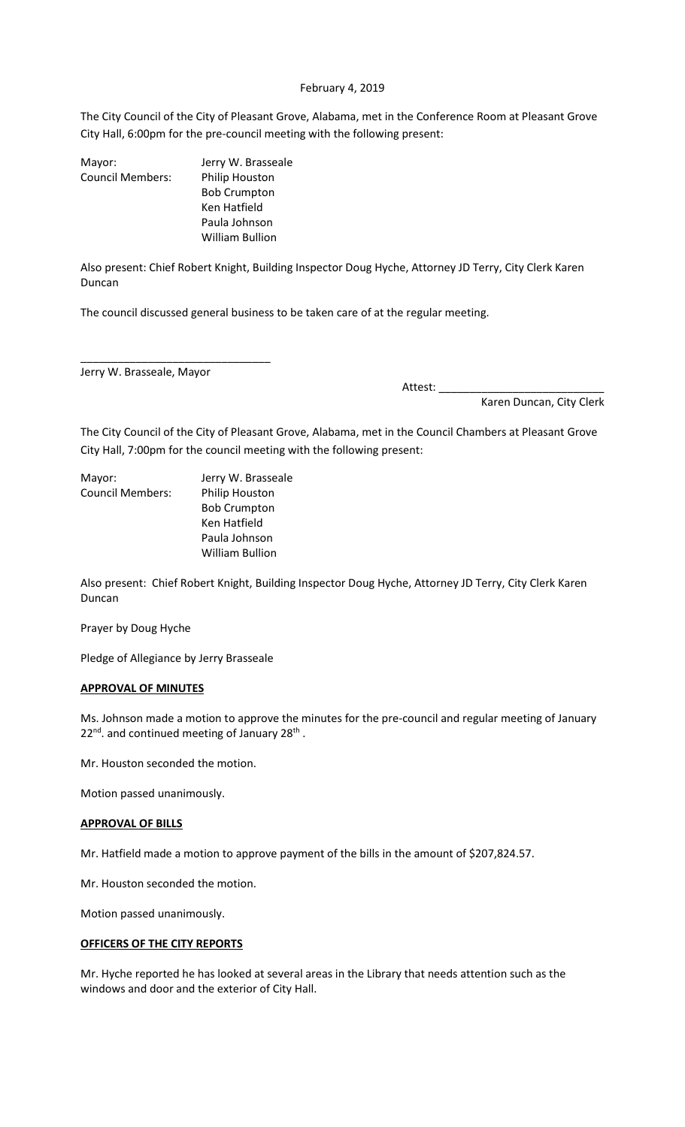### February 4, 2019

The City Council of the City of Pleasant Grove, Alabama, met in the Conference Room at Pleasant Grove City Hall, 6:00pm for the pre-council meeting with the following present:

| Mayor:                  | Jerry W. Brasseale  |
|-------------------------|---------------------|
| <b>Council Members:</b> | Philip Houston      |
|                         | <b>Bob Crumpton</b> |
|                         | Ken Hatfield        |
|                         | Paula Johnson       |
|                         | William Bullion     |
|                         |                     |

Also present: Chief Robert Knight, Building Inspector Doug Hyche, Attorney JD Terry, City Clerk Karen Duncan

The council discussed general business to be taken care of at the regular meeting.

Jerry W. Brasseale, Mayor

\_\_\_\_\_\_\_\_\_\_\_\_\_\_\_\_\_\_\_\_\_\_\_\_\_\_\_\_\_\_\_

Attest: \_\_\_\_\_\_\_\_\_\_\_\_\_\_\_\_\_\_\_\_\_\_\_\_\_\_\_ Karen Duncan, City Clerk

The City Council of the City of Pleasant Grove, Alabama, met in the Council Chambers at Pleasant Grove City Hall, 7:00pm for the council meeting with the following present:

| Mayor:                  | Jerry W. Brasseale     |
|-------------------------|------------------------|
| <b>Council Members:</b> | Philip Houston         |
|                         | <b>Bob Crumpton</b>    |
|                         | Ken Hatfield           |
|                         | Paula Johnson          |
|                         | <b>William Bullion</b> |

Also present: Chief Robert Knight, Building Inspector Doug Hyche, Attorney JD Terry, City Clerk Karen Duncan

Prayer by Doug Hyche

Pledge of Allegiance by Jerry Brasseale

### **APPROVAL OF MINUTES**

Ms. Johnson made a motion to approve the minutes for the pre-council and regular meeting of January  $22^{\text{nd}}$ . and continued meeting of January  $28^{\text{th}}$  .

Mr. Houston seconded the motion.

Motion passed unanimously.

#### **APPROVAL OF BILLS**

Mr. Hatfield made a motion to approve payment of the bills in the amount of \$207,824.57.

Mr. Houston seconded the motion.

Motion passed unanimously.

# **OFFICERS OF THE CITY REPORTS**

Mr. Hyche reported he has looked at several areas in the Library that needs attention such as the windows and door and the exterior of City Hall.